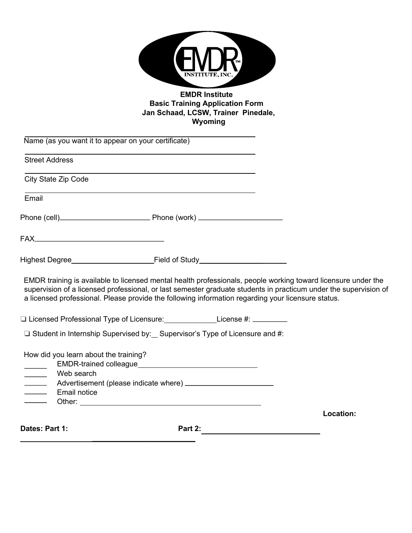|                                                                                                                                                                                                                                      |                                                                                                                       | <b>EMDR Institute</b><br><b>Basic Training Application Form</b><br>Jan Schaad, LCSW, Trainer Pinedale,<br>Wyoming |                                                                                                                                                                                                                                   |
|--------------------------------------------------------------------------------------------------------------------------------------------------------------------------------------------------------------------------------------|-----------------------------------------------------------------------------------------------------------------------|-------------------------------------------------------------------------------------------------------------------|-----------------------------------------------------------------------------------------------------------------------------------------------------------------------------------------------------------------------------------|
| Name (as you want it to appear on your certificate)                                                                                                                                                                                  |                                                                                                                       |                                                                                                                   |                                                                                                                                                                                                                                   |
| <b>Street Address</b>                                                                                                                                                                                                                |                                                                                                                       |                                                                                                                   |                                                                                                                                                                                                                                   |
| City State Zip Code                                                                                                                                                                                                                  |                                                                                                                       |                                                                                                                   |                                                                                                                                                                                                                                   |
| Email                                                                                                                                                                                                                                | <u> 1989 - Johann Stoff, deutscher Stoff, der Stoff, der Stoff, der Stoff, der Stoff, der Stoff, der Stoff, der S</u> |                                                                                                                   |                                                                                                                                                                                                                                   |
|                                                                                                                                                                                                                                      |                                                                                                                       |                                                                                                                   |                                                                                                                                                                                                                                   |
|                                                                                                                                                                                                                                      |                                                                                                                       |                                                                                                                   |                                                                                                                                                                                                                                   |
| Highest Degree <b>Manual Accord Contract Contract Contract Contract Contract Contract Contract Contract Contract Contract Contract Contract Contract Contract Contract Contract Contract Contract Contract Contract Contract Con</b> |                                                                                                                       |                                                                                                                   |                                                                                                                                                                                                                                   |
| a licensed professional. Please provide the following information regarding your licensure status.                                                                                                                                   |                                                                                                                       |                                                                                                                   | EMDR training is available to licensed mental health professionals, people working toward licensure under the<br>supervision of a licensed professional, or last semester graduate students in practicum under the supervision of |
| □ Licensed Professional Type of Licensure: ________________License #: _________                                                                                                                                                      |                                                                                                                       |                                                                                                                   |                                                                                                                                                                                                                                   |
| □ Student in Internship Supervised by: _ Supervisor's Type of Licensure and #:                                                                                                                                                       |                                                                                                                       |                                                                                                                   |                                                                                                                                                                                                                                   |
| How did you learn about the training?<br>Web search<br>$\overline{\phantom{a}}$<br>$\overline{\phantom{a}}$<br>Email notice<br>$\frac{1}{\sqrt{1-\frac{1}{2}}\left( \frac{1}{\sqrt{1-\frac{1}{2}}}\right) }$                         | EMDR-trained colleague<br><u>EMDR-trained colleague</u>                                                               |                                                                                                                   |                                                                                                                                                                                                                                   |
|                                                                                                                                                                                                                                      |                                                                                                                       |                                                                                                                   | Location:                                                                                                                                                                                                                         |
| Dates: Part 1:                                                                                                                                                                                                                       |                                                                                                                       | Part 2: __________________________________                                                                        |                                                                                                                                                                                                                                   |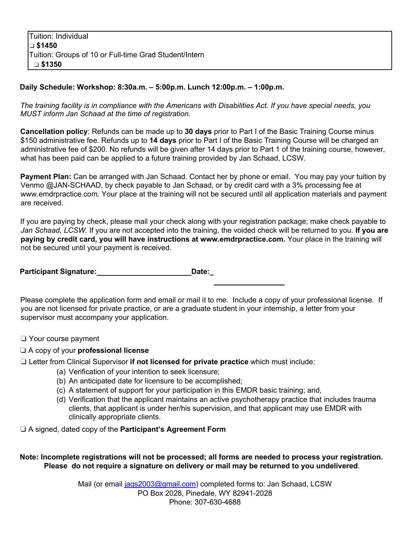## **Daily Schedule: Workshop: 8:30a.m. – 5:00p.m. Lunch 12:00p.m. – 1:00p.m.**

*The training facility is in compliance with the Americans with Disabilities Act. If you have special needs, you MUST inform Jan Schaad at the time of registration.* 

**Cancellation policy**: Refunds can be made up to **30 days** prior to Part I of the Basic Training Course minus \$150 administrative fee. Refunds up to **14 days** prior to Part I of the Basic Training Course will be charged an administrative fee of \$200. No refunds will be given after 14 days prior to Part 1 of the training course, however, what has been paid can be applied to a future training provided by Jan Schaad, LCSW.

**Payment Plan:** Can be arranged with Jan Schaad. Contact her by phone or email. You may pay your tuition by Venmo @JAN-SCHAAD, by check payable to Jan Schaad, or by credit card with a 3% processing fee at www.emdrpractice.com. Your place at the training will not be secured until all application materials and payment are received.

If you are paying by check, please mail your check along with your registration package; make check payable to *Jan Schaad, LCSW.* If you are not accepted into the training, the voided check will be returned to you. **If you are paying by credit card, you will have instructions at www.emdrpractice.com.** Your place in the training will not be secured until your payment is received.

**Participant Signature: Date: Date:** 

Please complete the application form and email or mail it to me. Include a copy of your professional license. If you are not licensed for private practice, or are a graduate student in your internship, a letter from your supervisor must accompany your application.

- ❏ Your course payment
- ❏ A copy of your **professional license**
- ❏ Letter from Clinical Supervisor **if not licensed for private practice** which must include:
	- (a) Verification of your intention to seek licensure;
	- (b) An anticipated date for licensure to be accomplished;
	- (c) A statement of support for your participation in this EMDR basic training; and,
	- (d) Verification that the applicant maintains an active psychotherapy practice that includes trauma clients, that applicant is under her/his supervision, and that applicant may use EMDR with clinically appropriate clients.

❏ A signed, dated copy of the **Participant's Agreement Form** 

## **Note: Incomplete registrations will not be processed; all forms are needed to process your registration. Please do not require a signature on delivery or mail may be returned to you undelivered**.

Mail (or email jags2003@gmail.com) completed forms to: Jan Schaad, LCSW PO Box 2028, Pinedale, WY 82941-2028 Phone: 307-630-4688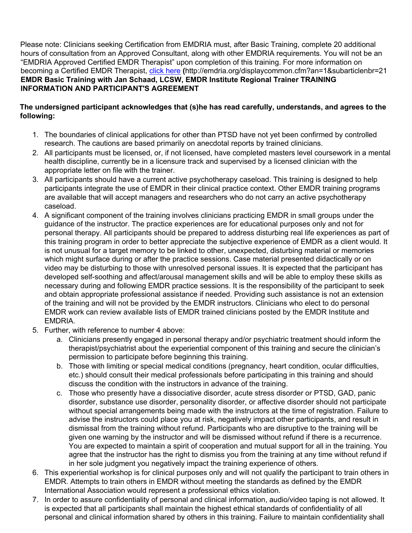Please note: Clinicians seeking Certification from EMDRIA must, after Basic Training, complete 20 additional hours of consultation from an Approved Consultant, along with other EMDRIA requirements. You will not be an "EMDRIA Approved Certified EMDR Therapist" upon completion of this training. For more information on becoming a Certified EMDR Therapist, click here **(**http://emdria.org/displaycommon.cfm?an=1&subarticlenbr=21 **EMDR Basic Training with Jan Schaad, LCSW, EMDR Institute Regional Trainer TRAINING INFORMATION AND PARTICIPANT'S AGREEMENT** 

## **The undersigned participant acknowledges that (s)he has read carefully, understands, and agrees to the following:**

- 1. The boundaries of clinical applications for other than PTSD have not yet been confirmed by controlled research. The cautions are based primarily on anecdotal reports by trained clinicians.
- 2. All participants must be licensed, or, if not licensed, have completed masters level coursework in a mental health discipline, currently be in a licensure track and supervised by a licensed clinician with the appropriate letter on file with the trainer.
- 3. All participants should have a current active psychotherapy caseload. This training is designed to help participants integrate the use of EMDR in their clinical practice context. Other EMDR training programs are available that will accept managers and researchers who do not carry an active psychotherapy caseload.
- 4. A significant component of the training involves clinicians practicing EMDR in small groups under the guidance of the instructor. The practice experiences are for educational purposes only and not for personal therapy. All participants should be prepared to address disturbing real life experiences as part of this training program in order to better appreciate the subjective experience of EMDR as a client would. It is not unusual for a target memory to be linked to other, unexpected, disturbing material or memories which might surface during or after the practice sessions. Case material presented didactically or on video may be disturbing to those with unresolved personal issues. It is expected that the participant has developed self-soothing and affect/arousal management skills and will be able to employ these skills as necessary during and following EMDR practice sessions. It is the responsibility of the participant to seek and obtain appropriate professional assistance if needed. Providing such assistance is not an extension of the training and will not be provided by the EMDR instructors. Clinicians who elect to do personal EMDR work can review available lists of EMDR trained clinicians posted by the EMDR Institute and EMDRIA.
- 5. Further, with reference to number 4 above:
	- a. Clinicians presently engaged in personal therapy and/or psychiatric treatment should inform the therapist/psychiatrist about the experiential component of this training and secure the clinician's permission to participate before beginning this training.
	- b. Those with limiting or special medical conditions (pregnancy, heart condition, ocular difficulties, etc.) should consult their medical professionals before participating in this training and should discuss the condition with the instructors in advance of the training.
	- c. Those who presently have a dissociative disorder, acute stress disorder or PTSD, GAD, panic disorder, substance use disorder, personality disorder, or affective disorder should not participate without special arrangements being made with the instructors at the time of registration. Failure to advise the instructors could place you at risk, negatively impact other participants, and result in dismissal from the training without refund. Participants who are disruptive to the training will be given one warning by the instructor and will be dismissed without refund if there is a recurrence. You are expected to maintain a spirit of cooperation and mutual support for all in the training. You agree that the instructor has the right to dismiss you from the training at any time without refund if in her sole judgment you negatively impact the training experience of others.
- 6. This experiential workshop is for clinical purposes only and will not qualify the participant to train others in EMDR. Attempts to train others in EMDR without meeting the standards as defined by the EMDR International Association would represent a professional ethics violation.
- 7. In order to assure confidentiality of personal and clinical information, audio/video taping is not allowed. It is expected that all participants shall maintain the highest ethical standards of confidentiality of all personal and clinical information shared by others in this training. Failure to maintain confidentiality shall